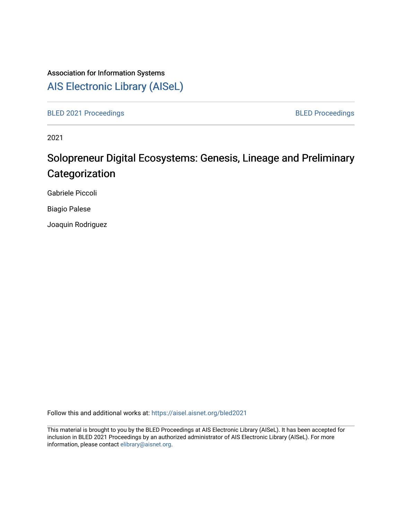# Association for Information Systems [AIS Electronic Library \(AISeL\)](https://aisel.aisnet.org/)

[BLED 2021 Proceedings](https://aisel.aisnet.org/bled2021) **BLED Proceedings** 

2021

# Solopreneur Digital Ecosystems: Genesis, Lineage and Preliminary **Categorization**

Gabriele Piccoli

Biagio Palese

Joaquin Rodriguez

Follow this and additional works at: [https://aisel.aisnet.org/bled2021](https://aisel.aisnet.org/bled2021?utm_source=aisel.aisnet.org%2Fbled2021%2F1&utm_medium=PDF&utm_campaign=PDFCoverPages) 

This material is brought to you by the BLED Proceedings at AIS Electronic Library (AISeL). It has been accepted for inclusion in BLED 2021 Proceedings by an authorized administrator of AIS Electronic Library (AISeL). For more information, please contact [elibrary@aisnet.org.](mailto:elibrary@aisnet.org%3E)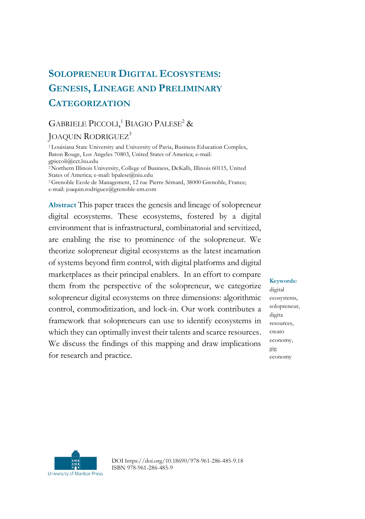# **SOLOPRENEUR DIGITAL ECOSYSTEMS: GENESIS, LINEAGE AND PRELIMINARY CATEGORIZATION**

# GABRIELE PICCOLI,<sup>1</sup> BIAGIO PALESE<sup>2</sup> &

# JOAQUIN RODRIGUEZ<sup>3</sup>

<sup>1</sup> Louisiana State University and University of Pavia, Business Education Complex, Baton Rouge, Los Angeles 70803, United States of America; e-mail: gpiccoli@cct.lsu.edu

<sup>2</sup>Northern Illinois University, College of Business, DeKalb, Illinois 60115, United States of America; e-mail: bpalese@niu.edu

<sup>3</sup>Grenoble Ecole de Management, 12 rue Pierre Sémard, 38000 Grenoble, France; e-mail: joaquin.rodriguez@grenoble-em.com

**Abstract** This paper traces the genesis and lineage of solopreneur digital ecosystems. These ecosystems, fostered by a digital environment that is infrastructural, combinatorial and servitized, are enabling the rise to prominence of the solopreneur. We theorize solopreneur digital ecosystems as the latest incarnation of systems beyond firm control, with digital platforms and digital marketplaces as their principal enablers. In an effort to compare them from the perspective of the solopreneur, we categorize solopreneur digital ecosystems on three dimensions: algorithmic control, commoditization, and lock-in. Our work contributes a framework that solopreneurs can use to identify ecosystems in which they can optimally invest their talents and scarce resources. We discuss the findings of this mapping and draw implications for research and practice.

**Keywords:**

digital ecosystems, solopreneur, digita resources, creato economy, gig economy



DOI https://doi.org/10.18690/978-961-286-485-9.18 ISBN 978-961-286-485-9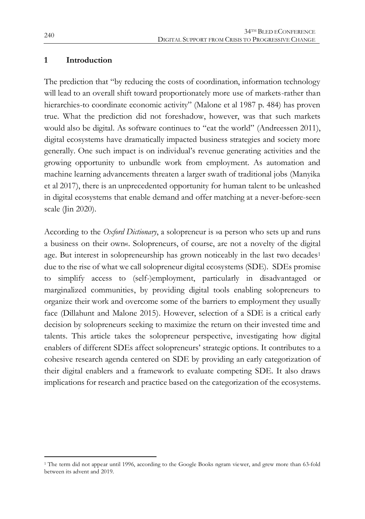#### **1 Introduction**

The prediction that "by reducing the costs of coordination, information technology will lead to an overall shift toward proportionately more use of markets-rather than hierarchies-to coordinate economic activity" (Malone et al 1987 p. 484) has proven true. What the prediction did not foreshadow, however, was that such markets would also be digital. As software continues to "eat the world" (Andreessen 2011), digital ecosystems have dramatically impacted business strategies and society more generally. One such impact is on individual's revenue generating activities and the growing opportunity to unbundle work from employment. As automation and machine learning advancements threaten a larger swath of traditional jobs (Manyika et al 2017), there is an unprecedented opportunity for human talent to be unleashed in digital ecosystems that enable demand and offer matching at a never-before-seen scale (Jin 2020).

According to the *Oxford Dictionary*, a solopreneur is »a person who sets up and runs a business on their own«. Solopreneurs, of course, are not a novelty of the digital age. But interest in solopreneurship has grown noticeably in the last two decades<sup>1</sup> due to the rise of what we call solopreneur digital ecosystems (SDE). SDEs promise to simplify access to (self-)employment, particularly in disadvantaged or marginalized communities, by providing digital tools enabling solopreneurs to organize their work and overcome some of the barriers to employment they usually face (Dillahunt and Malone 2015). However, selection of a SDE is a critical early decision by solopreneurs seeking to maximize the return on their invested time and talents. This article takes the solopreneur perspective, investigating how digital enablers of different SDEs affect solopreneurs' strategic options. It contributes to a cohesive research agenda centered on SDE by providing an early categorization of their digital enablers and a framework to evaluate competing SDE. It also draws implications for research and practice based on the categorization of the ecosystems.

 $\overline{a}$ 

<sup>1</sup> The term did not appear until 1996, according to the Google Books ngram viewer, and grew more than 63-fold between its advent and 2019.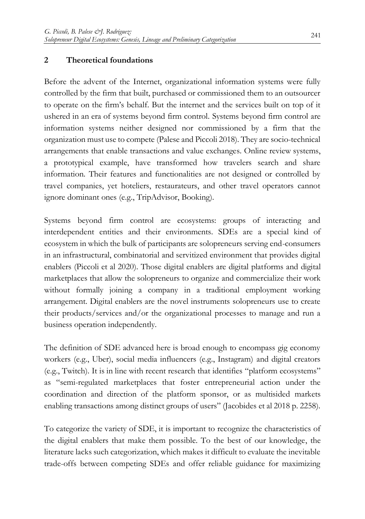### **2 Theoretical foundations**

Before the advent of the Internet, organizational information systems were fully controlled by the firm that built, purchased or commissioned them to an outsourcer to operate on the firm's behalf. But the internet and the services built on top of it ushered in an era of systems beyond firm control. Systems beyond firm control are information systems neither designed nor commissioned by a firm that the organization must use to compete (Palese and Piccoli 2018). They are socio-technical arrangements that enable transactions and value exchanges. Online review systems, a prototypical example, have transformed how travelers search and share information. Their features and functionalities are not designed or controlled by travel companies, yet hoteliers, restaurateurs, and other travel operators cannot ignore dominant ones (e.g., TripAdvisor, Booking).

Systems beyond firm control are ecosystems: groups of interacting and interdependent entities and their environments. SDEs are a special kind of ecosystem in which the bulk of participants are solopreneurs serving end-consumers in an infrastructural, combinatorial and servitized environment that provides digital enablers (Piccoli et al 2020). Those digital enablers are digital platforms and digital marketplaces that allow the solopreneurs to organize and commercialize their work without formally joining a company in a traditional employment working arrangement. Digital enablers are the novel instruments solopreneurs use to create their products/services and/or the organizational processes to manage and run a business operation independently.

The definition of SDE advanced here is broad enough to encompass gig economy workers (e.g., Uber), social media influencers (e.g., Instagram) and digital creators (e.g., Twitch). It is in line with recent research that identifies "platform ecosystems" as "semi-regulated marketplaces that foster entrepreneurial action under the coordination and direction of the platform sponsor, or as multisided markets enabling transactions among distinct groups of users" (Jacobides et al 2018 p. 2258).

To categorize the variety of SDE, it is important to recognize the characteristics of the digital enablers that make them possible. To the best of our knowledge, the literature lacks such categorization, which makes it difficult to evaluate the inevitable trade-offs between competing SDEs and offer reliable guidance for maximizing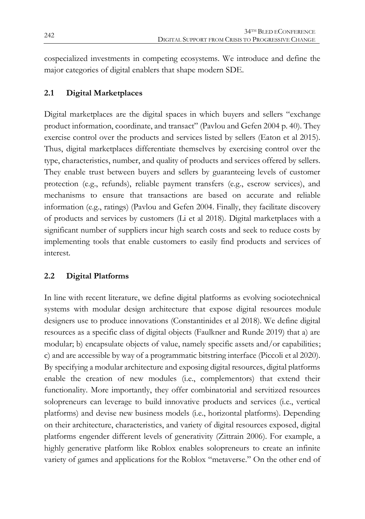cospecialized investments in competing ecosystems. We introduce and define the major categories of digital enablers that shape modern SDE.

# **2.1 Digital Marketplaces**

Digital marketplaces are the digital spaces in which buyers and sellers "exchange product information, coordinate, and transact" (Pavlou and Gefen 2004 p. 40). They exercise control over the products and services listed by sellers (Eaton et al 2015). Thus, digital marketplaces differentiate themselves by exercising control over the type, characteristics, number, and quality of products and services offered by sellers. They enable trust between buyers and sellers by guaranteeing levels of customer protection (e.g., refunds), reliable payment transfers (e.g., escrow services), and mechanisms to ensure that transactions are based on accurate and reliable information (e.g., ratings) (Pavlou and Gefen 2004. Finally, they facilitate discovery of products and services by customers (Li et al 2018). Digital marketplaces with a significant number of suppliers incur high search costs and seek to reduce costs by implementing tools that enable customers to easily find products and services of interest.

# **2.2 Digital Platforms**

In line with recent literature, we define digital platforms as evolving sociotechnical systems with modular design architecture that expose digital resources module designers use to produce innovations (Constantinides et al 2018). We define digital resources as a specific class of digital objects (Faulkner and Runde 2019) that a) are modular; b) encapsulate objects of value, namely specific assets and/or capabilities; c) and are accessible by way of a programmatic bitstring interface (Piccoli et al 2020). By specifying a modular architecture and exposing digital resources, digital platforms enable the creation of new modules (i.e., complementors) that extend their functionality. More importantly, they offer combinatorial and servitized resources solopreneurs can leverage to build innovative products and services (i.e., vertical platforms) and devise new business models (i.e., horizontal platforms). Depending on their architecture, characteristics, and variety of digital resources exposed, digital platforms engender different levels of generativity (Zittrain 2006). For example, a highly generative platform like Roblox enables solopreneurs to create an infinite variety of games and applications for the Roblox "metaverse." On the other end of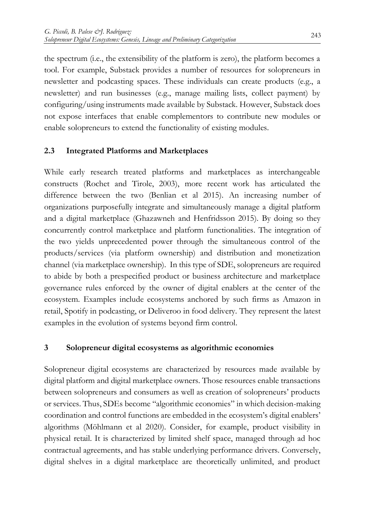the spectrum (i.e., the extensibility of the platform is zero), the platform becomes a tool. For example, Substack provides a number of resources for solopreneurs in newsletter and podcasting spaces. These individuals can create products (e.g., a newsletter) and run businesses (e.g., manage mailing lists, collect payment) by configuring/using instruments made available by Substack. However, Substack does not expose interfaces that enable complementors to contribute new modules or enable solopreneurs to extend the functionality of existing modules.

# **2.3 Integrated Platforms and Marketplaces**

While early research treated platforms and marketplaces as interchangeable constructs (Rochet and Tirole, 2003), more recent work has articulated the difference between the two (Benlian et al 2015). An increasing number of organizations purposefully integrate and simultaneously manage a digital platform and a digital marketplace (Ghazawneh and Henfridsson 2015). By doing so they concurrently control marketplace and platform functionalities. The integration of the two yields unprecedented power through the simultaneous control of the products/services (via platform ownership) and distribution and monetization channel (via marketplace ownership). In this type of SDE, solopreneurs are required to abide by both a prespecified product or business architecture and marketplace governance rules enforced by the owner of digital enablers at the center of the ecosystem. Examples include ecosystems anchored by such firms as Amazon in retail, Spotify in podcasting, or Deliveroo in food delivery. They represent the latest examples in the evolution of systems beyond firm control.

# **3 Solopreneur digital ecosystems as algorithmic economies**

Solopreneur digital ecosystems are characterized by resources made available by digital platform and digital marketplace owners. Those resources enable transactions between solopreneurs and consumers as well as creation of solopreneurs' products or services. Thus, SDEs become "algorithmic economies" in which decision-making coordination and control functions are embedded in the ecosystem's digital enablers' algorithms (Möhlmann et al 2020). Consider, for example, product visibility in physical retail. It is characterized by limited shelf space, managed through ad hoc contractual agreements, and has stable underlying performance drivers. Conversely, digital shelves in a digital marketplace are theoretically unlimited, and product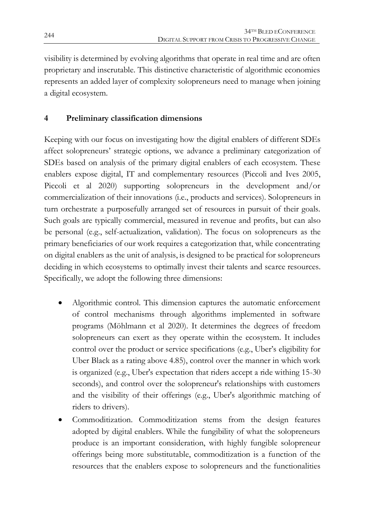visibility is determined by evolving algorithms that operate in real time and are often proprietary and inscrutable. This distinctive characteristic of algorithmic economies represents an added layer of complexity solopreneurs need to manage when joining a digital ecosystem.

# **4 Preliminary classification dimensions**

Keeping with our focus on investigating how the digital enablers of different SDEs affect solopreneurs' strategic options, we advance a preliminary categorization of SDEs based on analysis of the primary digital enablers of each ecosystem. These enablers expose digital, IT and complementary resources (Piccoli and Ives 2005, Piccoli et al 2020) supporting solopreneurs in the development and/or commercialization of their innovations (i.e., products and services). Solopreneurs in turn orchestrate a purposefully arranged set of resources in pursuit of their goals. Such goals are typically commercial, measured in revenue and profits, but can also be personal (e.g., self-actualization, validation). The focus on solopreneurs as the primary beneficiaries of our work requires a categorization that, while concentrating on digital enablers as the unit of analysis, is designed to be practical for solopreneurs deciding in which ecosystems to optimally invest their talents and scarce resources. Specifically, we adopt the following three dimensions:

- Algorithmic control. This dimension captures the automatic enforcement of control mechanisms through algorithms implemented in software programs (Möhlmann et al 2020). It determines the degrees of freedom solopreneurs can exert as they operate within the ecosystem. It includes control over the product or service specifications (e.g., Uber's eligibility for Uber Black as a rating above 4.85), control over the manner in which work is organized (e.g., Uber's expectation that riders accept a ride withing 15-30 seconds), and control over the solopreneur's relationships with customers and the visibility of their offerings (e.g., Uber's algorithmic matching of riders to drivers).
- Commoditization. Commoditization stems from the design features adopted by digital enablers. While the fungibility of what the solopreneurs produce is an important consideration, with highly fungible solopreneur offerings being more substitutable, commoditization is a function of the resources that the enablers expose to solopreneurs and the functionalities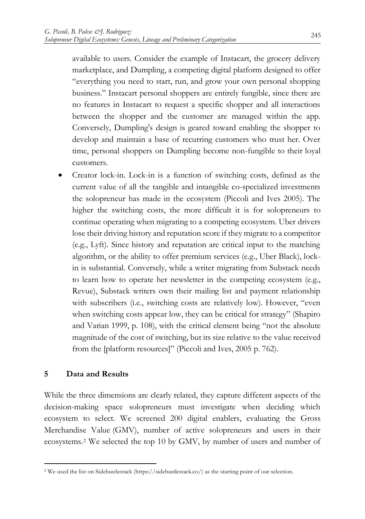available to users. Consider the example of Instacart, the grocery delivery marketplace, and Dumpling, a competing digital platform designed to offer "everything you need to start, run, and grow your own personal shopping business." Instacart personal shoppers are entirely fungible, since there are no features in Instacart to request a specific shopper and all interactions between the shopper and the customer are managed within the app. Conversely, Dumpling's design is geared toward enabling the shopper to develop and maintain a base of recurring customers who trust her. Over time, personal shoppers on Dumpling become non-fungible to their loyal customers.

 Creator lock-in. Lock-in is a function of switching costs, defined as the current value of all the tangible and intangible co-specialized investments the solopreneur has made in the ecosystem (Piccoli and Ives 2005). The higher the switching costs, the more difficult it is for solopreneurs to continue operating when migrating to a competing ecosystem. Uber drivers lose their driving history and reputation score if they migrate to a competitor (e.g., Lyft). Since history and reputation are critical input to the matching algorithm, or the ability to offer premium services (e.g., Uber Black), lockin is substantial. Conversely, while a writer migrating from Substack needs to learn how to operate her newsletter in the competing ecosystem (e.g., Revue), Substack writers own their mailing list and payment relationship with subscribers (i.e., switching costs are relatively low). However, "even when switching costs appear low, they can be critical for strategy" (Shapiro and Varian 1999, p. 108), with the critical element being "not the absolute magnitude of the cost of switching, but its size relative to the value received from the [platform resources]" (Piccoli and Ives, 2005 p. 762).

#### **5 Data and Results**

1

While the three dimensions are clearly related, they capture different aspects of the decision-making space solopreneurs must investigate when deciding which ecosystem to select. We screened 200 digital enablers, evaluating the Gross Merchandise Value (GMV), number of active solopreneurs and users in their ecosystems.<sup>2</sup> We selected the top 10 by GMV, by number of users and number of

<sup>2</sup> We used the list on Sidehustlestack (https://sidehustlestack.co/) as the starting point of our selection.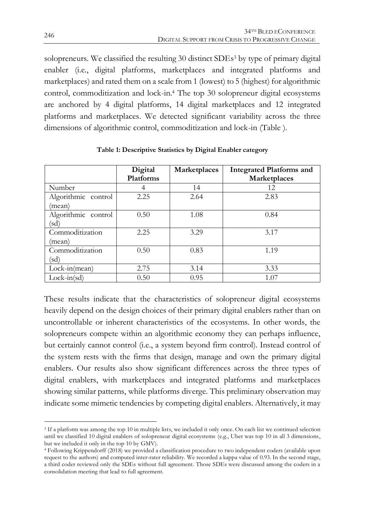solopreneurs. We classified the resulting 30 distinct SDEs <sup>3</sup> by type of primary digital enabler (i.e., digital platforms, marketplaces and integrated platforms and marketplaces) and rated them on a scale from 1 (lowest) to 5 (highest) for algorithmic control, commoditization and lock-in.<sup>4</sup> The top 30 solopreneur digital ecosystems are anchored by 4 digital platforms, 14 digital marketplaces and 12 integrated platforms and marketplaces. We detected significant variability across the three dimensions of algorithmic control, commoditization and lock-in [\(Table \)](#page-8-0).

<span id="page-8-0"></span>

|                               | Digital<br>Platforms | Marketplaces | <b>Integrated Platforms and</b><br>Marketplaces |
|-------------------------------|----------------------|--------------|-------------------------------------------------|
| Number                        | 4                    | 14           | 12                                              |
| Algorithmic control<br>(mean) | 2.25                 | 2.64         | 2.83                                            |
| Algorithmic control<br>(sd)   | 0.50                 | 1.08         | 0.84                                            |
| Commoditization<br>(mean)     | 2.25                 | 3.29         | 3.17                                            |
| Commoditization<br>(sd)       | 0.50                 | 0.83         | 1.19                                            |
| Lock-in(mean)                 | 2.75                 | 3.14         | 3.33                                            |
| $Lock-in(sd)$                 | 0.50                 | 0.95         | 1.07                                            |

**Table 1: Descriptive Statistics by Digital Enabler category**

These results indicate that the characteristics of solopreneur digital ecosystems heavily depend on the design choices of their primary digital enablers rather than on uncontrollable or inherent characteristics of the ecosystems. In other words, the solopreneurs compete within an algorithmic economy they can perhaps influence, but certainly cannot control (i.e., a system beyond firm control). Instead control of the system rests with the firms that design, manage and own the primary digital enablers. Our results also show significant differences across the three types of digital enablers, with marketplaces and integrated platforms and marketplaces showing similar patterns, while platforms diverge. This preliminary observation may indicate some mimetic tendencies by competing digital enablers. Alternatively, it may

1

<sup>&</sup>lt;sup>3</sup> If a platform was among the top 10 in multiple lists, we included it only once. On each list we continued selection until we classified 10 digital enablers of solopreneur digital ecosystems (e.g., Uber was top 10 in all 3 dimensions, but we included it only in the top 10 by GMV).

<sup>4</sup> Following Krippendorff (2018) we provided a classification procedure to two independent coders (available upon request to the authors) and computed inter-rater reliability. We recorded a kappa value of 0.93. In the second stage, a third coder reviewed only the SDEs without full agreement. Those SDEs were discussed among the coders in a consolidation meeting that lead to full agreement.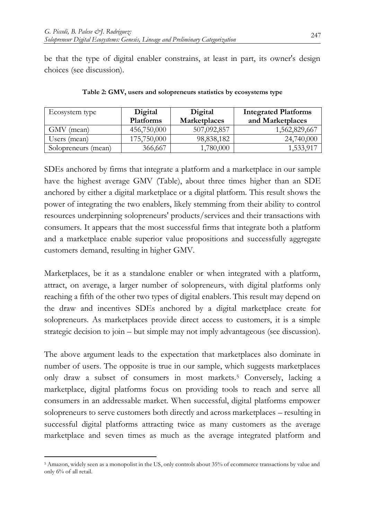be that the type of digital enabler constrains, at least in part, its owner's design choices (see discussion).

<span id="page-9-0"></span>

| Ecosystem type      | Digital     | Digital      | <b>Integrated Platforms</b> |
|---------------------|-------------|--------------|-----------------------------|
|                     | Platforms   | Marketplaces | and Marketplaces            |
| GMV (mean)          | 456,750,000 | 507,092,857  | 1,562,829,667               |
| Users (mean)        | 175,750,000 | 98,838,182   | 24,740,000                  |
| Solopreneurs (mean) | 366,667     | .780,000     | 1,533,917                   |

**Table 2: GMV, users and solopreneurs statistics by ecosystems type**

SDEs anchored by firms that integrate a platform and a marketplace in our sample have the highest average GMV [\(Table\)](#page-9-0), about three times higher than an SDE anchored by either a digital marketplace or a digital platform. This result shows the power of integrating the two enablers, likely stemming from their ability to control resources underpinning solopreneurs' products/services and their transactions with consumers. It appears that the most successful firms that integrate both a platform and a marketplace enable superior value propositions and successfully aggregate customers demand, resulting in higher GMV.

Marketplaces, be it as a standalone enabler or when integrated with a platform, attract, on average, a larger number of solopreneurs, with digital platforms only reaching a fifth of the other two types of digital enablers. This result may depend on the draw and incentives SDEs anchored by a digital marketplace create for solopreneurs. As marketplaces provide direct access to customers, it is a simple strategic decision to join – but simple may not imply advantageous (see discussion).

The above argument leads to the expectation that marketplaces also dominate in number of users. The opposite is true in our sample, which suggests marketplaces only draw a subset of consumers in most markets.<sup>5</sup> Conversely, lacking a marketplace, digital platforms focus on providing tools to reach and serve all consumers in an addressable market. When successful, digital platforms empower solopreneurs to serve customers both directly and across marketplaces – resulting in successful digital platforms attracting twice as many customers as the average marketplace and seven times as much as the average integrated platform and

 $\overline{a}$ <sup>5</sup> Amazon, widely seen as a monopolist in the US, only controls about 35% of ecommerce transactions by value and only 6% of all retail.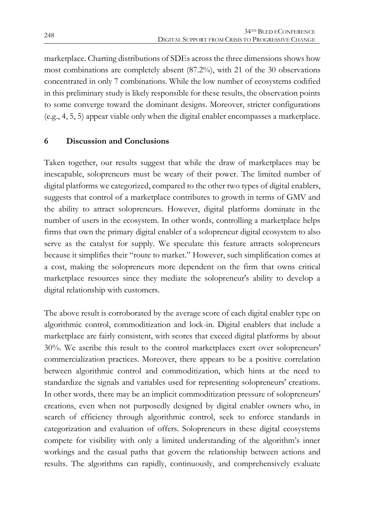marketplace. Charting distributions of SDEs across the three dimensions shows how most combinations are completely absent (87.2%), with 21 of the 30 observations concentrated in only 7 combinations. While the low number of ecosystems codified in this preliminary study is likely responsible for these results, the observation points to some converge toward the dominant designs. Moreover, stricter configurations (e.g., 4, 5, 5) appear viable only when the digital enabler encompasses a marketplace.

#### **6 Discussion and Conclusions**

Taken together, our results suggest that while the draw of marketplaces may be inescapable, solopreneurs must be weary of their power. The limited number of digital platforms we categorized, compared to the other two types of digital enablers, suggests that control of a marketplace contributes to growth in terms of GMV and the ability to attract solopreneurs. However, digital platforms dominate in the number of users in the ecosystem. In other words, controlling a marketplace helps firms that own the primary digital enabler of a solopreneur digital ecosystem to also serve as the catalyst for supply. We speculate this feature attracts solopreneurs because it simplifies their "route to market." However, such simplification comes at a cost, making the solopreneurs more dependent on the firm that owns critical marketplace resources since they mediate the solopreneur's ability to develop a digital relationship with customers.

The above result is corroborated by the average score of each digital enabler type on algorithmic control, commoditization and lock-in. Digital enablers that include a marketplace are fairly consistent, with scores that exceed digital platforms by about 30%. We ascribe this result to the control marketplaces exert over solopreneurs' commercialization practices. Moreover, there appears to be a positive correlation between algorithmic control and commoditization, which hints at the need to standardize the signals and variables used for representing solopreneurs' creations. In other words, there may be an implicit commoditization pressure of solopreneurs' creations, even when not purposedly designed by digital enabler owners who, in search of efficiency through algorithmic control, seek to enforce standards in categorization and evaluation of offers. Solopreneurs in these digital ecosystems compete for visibility with only a limited understanding of the algorithm's inner workings and the casual paths that govern the relationship between actions and results. The algorithms can rapidly, continuously, and comprehensively evaluate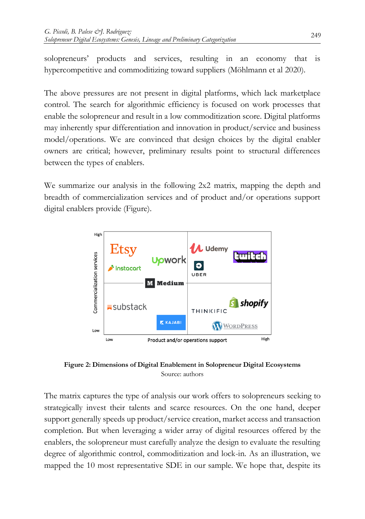solopreneurs' products and services, resulting in an economy that is hypercompetitive and commoditizing toward suppliers (Möhlmann et al 2020).

The above pressures are not present in digital platforms, which lack marketplace control. The search for algorithmic efficiency is focused on work processes that enable the solopreneur and result in a low commoditization score. Digital platforms may inherently spur differentiation and innovation in product/service and business model/operations. We are convinced that design choices by the digital enabler owners are critical; however, preliminary results point to structural differences between the types of enablers.

We summarize our analysis in the following 2x2 matrix, mapping the depth and breadth of commercialization services and of product and/or operations support digital enablers provide [\(Figure\)](#page-11-0).



<span id="page-11-0"></span>**Figure 2: Dimensions of Digital Enablement in Solopreneur Digital Ecosystems** Source: authors

The matrix captures the type of analysis our work offers to solopreneurs seeking to strategically invest their talents and scarce resources. On the one hand, deeper support generally speeds up product/service creation, market access and transaction completion. But when leveraging a wider array of digital resources offered by the enablers, the solopreneur must carefully analyze the design to evaluate the resulting degree of algorithmic control, commoditization and lock-in. As an illustration, we mapped the 10 most representative SDE in our sample. We hope that, despite its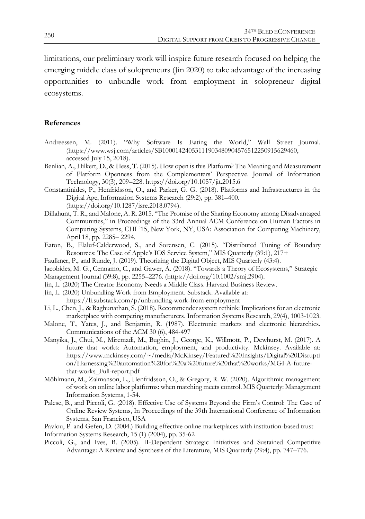limitations, our preliminary work will inspire future research focused on helping the emerging middle class of solopreneurs (Jin 2020) to take advantage of the increasing opportunities to unbundle work from employment in solopreneur digital ecosystems.

#### **References**

- Andreessen, M. (2011). "Why Software Is Eating the World," Wall Street Journal. (https://www.wsj.com/articles/SB10001424053111903480904576512250915629460, accessed July 15, 2018).
- Benlian, A., Hilkert, D., & Hess, T. (2015). How open is this Platform? The Meaning and Measurement of Platform Openness from the Complementers' Perspective. Journal of Information Technology, 30(3), 209–228. https://doi.org/10.1057/jit.2015.6
- Constantinides, P., Henfridsson, O., and Parker, G. G. (2018). Platforms and Infrastructures in the Digital Age, Information Systems Research (29:2), pp. 381–400. [\(https://doi.org/10.1287/isre.2018.0794\)](https://doi.org/10.1287/isre.2018.0794).
- Dillahunt, T. R., and Malone, A. R. 2015. "The Promise of the Sharing Economy among Disadvantaged Communities," in Proceedings of the 33rd Annual ACM Conference on Human Factors in Computing Systems, CHI '15, New York, NY, USA: Association for Computing Machinery, April 18, pp. 2285– 2294.
- Eaton, B., Elaluf-Calderwood, S., and Sorensen, C. (2015). "Distributed Tuning of Boundary Resources: The Case of Apple's IOS Service System," MIS Quarterly (39:1), 217+
- Faulkner, P., and Runde, J. (2019). Theorizing the Digital Object, MIS Quarterly (43:4).
- Jacobides, M. G., Cennamo, C., and Gawer, A. (2018). "Towards a Theory of Ecosystems," Strategic
- Management Journal (39:8), pp. 2255–2276. (https://doi.org/10.1002/smj.2904).
- Jin, L. (2020) The Creator Economy Needs a Middle Class. Harvard Business Review.
- Jin, L. (2020) Unbundling Work from Employment. Substack. Available at: https://li.substack.com/p/unbundling-work-from-employment
- Li, L., Chen, J., & Raghunathan, S. (2018). Recommender system rethink: Implications for an electronic marketplace with competing manufacturers. Information Systems Research, 29(4), 1003-1023.
- Malone, T., Yates, J., and Benjamin, R. (1987). Electronic markets and electronic hierarchies. Communications of the ACM 30 (6), 484-497
- Manyika, J., Chui, M., Miremadi, M., Bughin, J., George, K., Willmott, P., Dewhurst, M. (2017). A future that works: Automation, employment, and productivity. Mckinsey. Available at: https://www.mckinsey.com/~/media/McKinsey/Featured%20Insights/Digital%20Disrupti on/Harnessing%20automation%20for%20a%20future%20that%20works/MGI-A-futurethat-works\_Full-report.pdf
- Möhlmann, M., Zalmanson, L., Henfridsson, O., & Gregory, R. W. (2020). Algorithmic management of work on online labor platforms: when matching meets control. MIS Quarterly: Management Information Systems, 1-54.
- Palese, B., and Piccoli, G. (2018). Effective Use of Systems Beyond the Firm's Control: The Case of Online Review Systems, In Proceedings of the 39th International Conference of Information Systems, San Francisco, USA

Pavlou, P. and Gefen, D. (2004.) Building effective online marketplaces with institution-based trust

Information Systems Research, 15 (1) (2004), pp. 35-62

Piccoli, G., and Ives, B. (2005). II-Dependent Strategic Initiatives and Sustained Competitive Advantage: A Review and Synthesis of the Literature, MIS Quarterly (29:4), pp. 747–776.